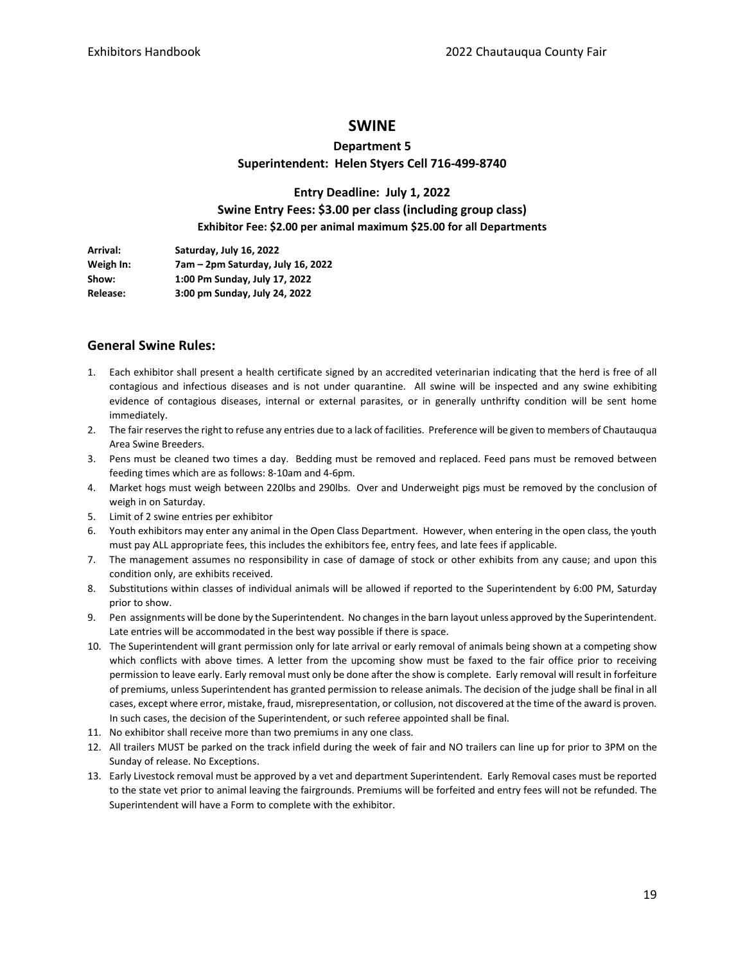### **SWINE**

# **Department 5 Superintendent: Helen Styers Cell 716-499-8740**

## **Entry Deadline: July 1, 2022 Swine Entry Fees: \$3.00 per class (including group class) Exhibitor Fee: \$2.00 per animal maximum \$25.00 for all Departments**

| Arrival:        | Saturday, July 16, 2022           |
|-----------------|-----------------------------------|
| Weigh In:       | 7am – 2pm Saturday, July 16, 2022 |
| Show:           | 1:00 Pm Sunday, July 17, 2022     |
| <b>Release:</b> | 3:00 pm Sunday, July 24, 2022     |

### **General Swine Rules:**

- 1. Each exhibitor shall present a health certificate signed by an accredited veterinarian indicating that the herd is free of all contagious and infectious diseases and is not under quarantine. All swine will be inspected and any swine exhibiting evidence of contagious diseases, internal or external parasites, or in generally unthrifty condition will be sent home immediately.
- 2. The fair reserves the right to refuse any entries due to a lack of facilities. Preference will be given to members of Chautauqua Area Swine Breeders.
- 3. Pens must be cleaned two times a day. Bedding must be removed and replaced. Feed pans must be removed between feeding times which are as follows: 8-10am and 4-6pm.
- 4. Market hogs must weigh between 220lbs and 290lbs. Over and Underweight pigs must be removed by the conclusion of weigh in on Saturday.
- 5. Limit of 2 swine entries per exhibitor
- 6. Youth exhibitors may enter any animal in the Open Class Department. However, when entering in the open class, the youth must pay ALL appropriate fees, this includes the exhibitors fee, entry fees, and late fees if applicable.
- 7. The management assumes no responsibility in case of damage of stock or other exhibits from any cause; and upon this condition only, are exhibits received.
- 8. Substitutions within classes of individual animals will be allowed if reported to the Superintendent by 6:00 PM, Saturday prior to show.
- 9. Pen assignments will be done by the Superintendent. No changes in the barn layout unless approved by the Superintendent. Late entries will be accommodated in the best way possible if there is space.
- 10. The Superintendent will grant permission only for late arrival or early removal of animals being shown at a competing show which conflicts with above times. A letter from the upcoming show must be faxed to the fair office prior to receiving permission to leave early. Early removal must only be done after the show is complete. Early removal will result in forfeiture of premiums, unless Superintendent has granted permission to release animals. The decision of the judge shall be final in all cases, except where error, mistake, fraud, misrepresentation, or collusion, not discovered at the time of the award is proven. In such cases, the decision of the Superintendent, or such referee appointed shall be final.
- 11. No exhibitor shall receive more than two premiums in any one class.
- 12. All trailers MUST be parked on the track infield during the week of fair and NO trailers can line up for prior to 3PM on the Sunday of release. No Exceptions.
- 13. Early Livestock removal must be approved by a vet and department Superintendent. Early Removal cases must be reported to the state vet prior to animal leaving the fairgrounds. Premiums will be forfeited and entry fees will not be refunded. The Superintendent will have a Form to complete with the exhibitor.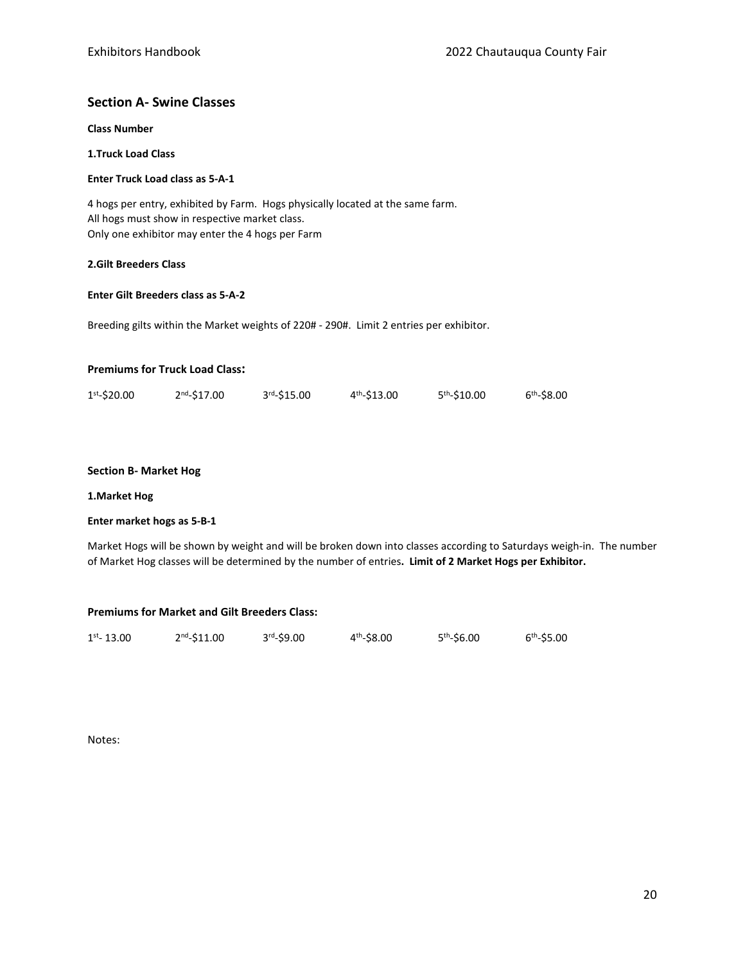## **Section A- Swine Classes**

**Class Number**

**1.Truck Load Class**

#### **Enter Truck Load class as 5-A-1**

4 hogs per entry, exhibited by Farm. Hogs physically located at the same farm. All hogs must show in respective market class. Only one exhibitor may enter the 4 hogs per Farm

#### **2.Gilt Breeders Class**

#### **Enter Gilt Breeders class as 5-A-2**

Breeding gilts within the Market weights of 220# - 290#. Limit 2 entries per exhibitor.

#### **Premiums for Truck Load Class:**

| $1st - $20.00$ | $2nd - $17.00$ | 3rd <sub>-</sub> \$15.00 | $4th - $13.00$ | 5 <sup>th</sup> -\$10.00 | $6th - $8.00$ |
|----------------|----------------|--------------------------|----------------|--------------------------|---------------|
|                |                |                          |                |                          |               |

#### **Section B- Market Hog**

#### **1.Market Hog**

### **Enter market hogs as 5-B-1**

Market Hogs will be shown by weight and will be broken down into classes according to Saturdays weigh-in. The number of Market Hog classes will be determined by the number of entries**. Limit of 2 Market Hogs per Exhibitor.**

#### **Premiums for Market and Gilt Breeders Class:**

| $1st - 13.00$ | $2^{nd} - $11.00$ | $3rd - $9.00$ | $4th - $8.00$ | 5 <sup>th</sup> -\$6.00 | $6th - $5.00$ |
|---------------|-------------------|---------------|---------------|-------------------------|---------------|
|               |                   |               |               |                         |               |

Notes: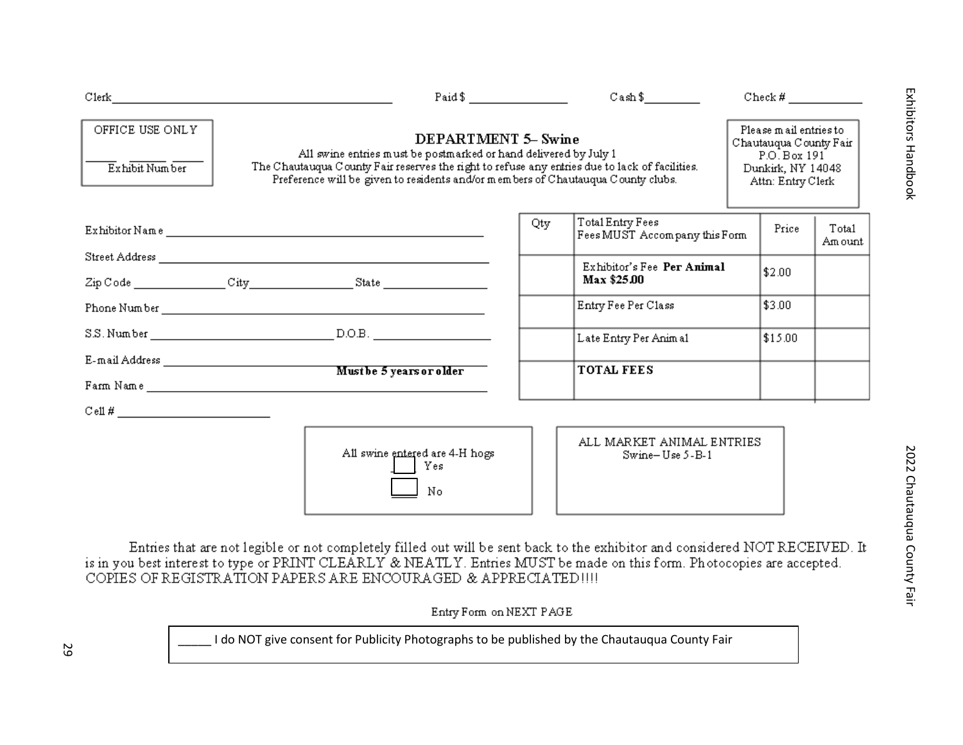| Clerk <b>Clerk</b>                                                                                                                                                                         | Paid $\frac{1}{2}$ $\frac{1}{2}$ $\frac{1}{2}$ $\frac{1}{2}$ $\frac{1}{2}$ $\frac{1}{2}$ $\frac{1}{2}$ $\frac{1}{2}$ $\frac{1}{2}$ $\frac{1}{2}$ $\frac{1}{2}$ $\frac{1}{2}$ $\frac{1}{2}$ $\frac{1}{2}$ $\frac{1}{2}$ $\frac{1}{2}$ $\frac{1}{2}$ $\frac{1}{2}$ $\frac{1}{2}$ $\frac{1}{2}$ $\frac{1}{2}$ $\frac{1}{$ |     |                                                   |  |                                                                                                            |                  |
|--------------------------------------------------------------------------------------------------------------------------------------------------------------------------------------------|------------------------------------------------------------------------------------------------------------------------------------------------------------------------------------------------------------------------------------------------------------------------------------------------------------------------|-----|---------------------------------------------------|--|------------------------------------------------------------------------------------------------------------|------------------|
| OFFICE USE ONLY<br>Exhibit Number                                                                                                                                                          | <b>DEPARTMENT 5- Swine</b><br>All swine entries must be postmarked or hand delivered by July 1<br>The Chautauqua County Fair reserves the right to refuse any entries due to lack of facilities.<br>Preference will be given to residents and/or members of Chautauqua County clubs.                                   |     |                                                   |  | Please mail entries to<br>Chautauqua County Fair<br>P.O. Box 191<br>Dunkirk, NY 14048<br>Attn: Entry Clerk |                  |
|                                                                                                                                                                                            |                                                                                                                                                                                                                                                                                                                        | Qty | Total Entry Fees<br>Fees MUST Accompany this Form |  | Price                                                                                                      | Tota1<br>Am ount |
|                                                                                                                                                                                            |                                                                                                                                                                                                                                                                                                                        |     | Exhibitor's Fee Per Animal<br>Max \$25.00         |  | \$2.00                                                                                                     |                  |
|                                                                                                                                                                                            |                                                                                                                                                                                                                                                                                                                        |     | Entry Fee Per Class                               |  | \$3.00                                                                                                     |                  |
|                                                                                                                                                                                            |                                                                                                                                                                                                                                                                                                                        |     | Late Entry Per Animal                             |  | \$15.00                                                                                                    |                  |
|                                                                                                                                                                                            |                                                                                                                                                                                                                                                                                                                        |     | <b>TOTAL FEES</b>                                 |  |                                                                                                            |                  |
| $\mathbf{Cell} \#$                                                                                                                                                                         |                                                                                                                                                                                                                                                                                                                        |     |                                                   |  |                                                                                                            |                  |
|                                                                                                                                                                                            | All swine entered are 4-H hogs<br>Yes<br>No                                                                                                                                                                                                                                                                            |     | ALL MARKET ANIMAL ENTRIES<br>$Swine-Use 5-B-1$    |  |                                                                                                            |                  |
| is in you best interest to type or PRINT CLEARLY & NEATLY. Entries MUST be made on this form. Photocopies are accepted.<br>COPIES OF REGISTRATION PAPERS ARE ENCOURAGED & APPRECIATED !!!! | Entries that are not legible or not completely filled out will be sent back to the exhibitor and considered NOT RECEIVED. It                                                                                                                                                                                           |     |                                                   |  |                                                                                                            |                  |

Entry Form on NEXT PAGE

29 and 29 Lacksburg I do NOT give consent for Publicity Photographs to be published by the Chautauqua County Fair<br>  $\frac{1}{2}$